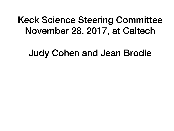#### Keck Science Steering Committee November 28, 2017, at Caltech

Judy Cohen and Jean Brodie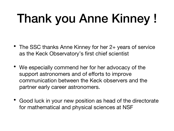# Thank you Anne Kinney!

- The SSC thanks Anne Kinney for her 2+ years of service as the Keck Observatory's first chief scientist
- We especially commend her for her advocacy of the support astronomers and of efforts to improve communication between the Keck observers and the partner early career astronomers.
- Good luck in your new position as head of the directorate for mathematical and physical sciences at NSF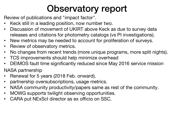Review of publications and "impact factor".

- Keck still in a leading position, now number two.
- Discussion of movement of UKIRT above Keck as due to survey data releases and citations for photometry catalogs (vs PI investigations).
- New metrics may be needed to account for proliferation of surveys.
- Review of observatory metrics.
- No changes from recent trends (more unique programs, more split nights).
- TCS improvements should help minimize overhead
- DEIMOS fault time significantly reduced since May 2016 service mission

NASA partnership

- Renewal for 5 years (2018 Feb. onward).
- partnership oversubscriptions, usage metrics.
- NASA community productivity/papers same as rest of the community.
- MOWG supports twilight observing opportunities.
- CARA put NExScI director as ex officio on SSC.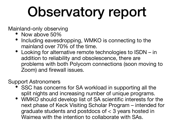Mainland-only observing

- Now above 50%
- Including eavesdropping, WMKO is connecting to the mainland over 70% of the time.
- Looking for alternative remote technologies to ISDN in addition to reliability and obsolescence, there are problems with both Polycom connections (soon moving to Zoom) and firewall issues.

Support Astronomers

- SSC has concerns for SA workload in supporting all the split nights and increasing number of unique programs.
- WMKO should develop list of SA scientific interests for the next phase of Keck Visiting Scholar Program – intended for graduate students and postdocs of < 3 years hosted in Waimea with the intention to collaborate with SAs.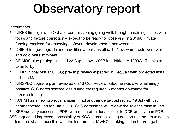**Instruments** 

- NIRES first light on 5 Oct and commissioning going well, though remaining issues with focus and flexure correction – expect to be ready for observing in 2018A. Private funding received for observing software development/improvement.
- OSIRIS imager upgrade and new filter wheels installed 15 Nov; warm tests went well and cold tests imminent.
- DEIMOS blue grating installed 23 Aug now 1200B in addition to 1200G. Thanks to Evan Kirby
- K1DM in final test at UCSC; pre-ship review expected in Dec/Jan with projected install at K1 in Mar.
- NIRSPEC upgrade plan reviewed on 13 Oct. Review outcome was overwhelmingly positive. SSC notes science loss during the required 5 months downtime for commissioning.
- KCRM has a new project manager. Had another delta-cost review 19 Jul with yet another scheduled for Jan, 2018. SSC committee will review the science case in Feb.
- KPF had very successful PDR, with much of material closer to DDR quality than PDR. SSC requested improved accessibility of KCWI commissioning data so that community can understand what is possible with the instrument. MWKO is taking action to arrange this.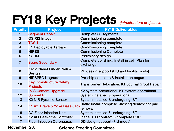## FY18 Key Projects *(infrastructure projects in*

| <b>Priority</b> | <b>Project</b>                                      | <b>FY18 Deliverables</b>                                   |
|-----------------|-----------------------------------------------------|------------------------------------------------------------|
|                 | <b>Segment Repair</b>                               | <b>Complete 33 segments</b>                                |
| 2 <sup>2</sup>  | <b>OSIRIS Imager</b>                                | <b>Commissioning complete</b>                              |
| 3               | <b>TCSU</b>                                         | <b>Commissioning complete</b>                              |
| $\overline{4}$  | <b>K1 Deployable Tertiary</b>                       | <b>Commissioning complete</b>                              |
| $5\overline{)}$ | <b>NIRES</b>                                        | <b>Commissioning Complete</b>                              |
| 6               | <b>KCRM</b>                                         | <b>Preliminary design</b>                                  |
| $\overline{7}$  | <b>Spare Secondary</b>                              | Complete polishing. Install in cell. Plan for<br>exchange. |
| 8               | <b>Keck Planet Finder Prelim</b><br>Design          | PD design support (FIU and facility mods)                  |
| 9               | <b>NIRSPEC Upgrade</b>                              | Pre-ship complete & installation begun                     |
| 10              | <b>Key Infrastructure Safety</b><br><b>Projects</b> | <b>Transformer Relocation; K1 Journal Grout Repair</b>     |
| 11              | <b>PCS Camera Upgrade</b>                           | K2 system operational. K1 system operational               |
| $12 \,$         | <b>Summit PV</b>                                    | <b>System installed &amp; operational</b>                  |
| 13              | <b>K2 NIR Pyramid Sensor</b>                        | System installed & undergoing I&T                          |
| 14              | K1 Az. Brake & Yoke Base Jack                       | Brake install complete. Jacking demo'd for pad<br>removal  |
| 15              | <b>AO Fiber Injection Unit</b>                      | System installed & undergoing I&T                          |
| 16              | K <sub>2</sub> AO Real-time Controller              | <b>Place RTC contract &amp; complete PDR</b>               |
| 17              | <b>Fiber Injection Coronagraph</b>                  | DD design support (FIU mods)                               |

**November 28,**  

**Science Steering Committee**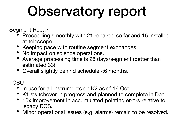Segment Repair

- Proceeding smoothly with 21 repaired so far and 15 installed at telescope.
- Keeping pace with routine segment exchanges.
- No impact on science operations.
- Average processing time is 28 days/segment (better than estimated 33).
- Overall slightly behind schedule <6 months.

**TCSU** 

- In use for all instruments on K2 as of 16 Oct.
- K1 switchover in progress and planned to complete in Dec.
- 10x improvement in accumulated pointing errors relative to legacy DCS.
- Minor operational issues (e.g. alarms) remain to be resolved.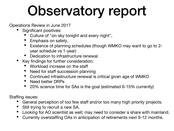Operations Review in June 2017

- Significant positives:
	- Culture of "on-sky tonight and every night",
	- Emphasis on safety,
	- Existence of planning schedules (though WMKO may want to go to 2 year schedule vs 1-year)
	- Dedication to infrastructure renewal.
- Key findings for further consideration:
	- Workload increase on the staff
	- Need for staff succession planning
	- Continued infrastructure renewal is critical given age of WMKO
	- Need better DRPs
	- 20% science time for SAs is the goal (estimated 6-15% currently)

Staffing issues:

- General perception of too few staff and/or too many high priority projects.
- Still trying to recruit a new SA.
- Looking for AO scientist as well; may need to consider a share with mainland.
- Currently overstaffing OAs in anticipation of retirements next 9-12 months.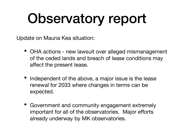Update on Mauna Kea situation:

- OHA actions new lawsuit over alleged mismanagement of the ceded lands and breach of lease conditions may affect the present lease.
- Independent of the above, a major issue is the lease renewal for 2033 where changes in terms can be expected.
- Government and community engagement extremely important for all of the observatories. Major efforts already underway by MK observatories.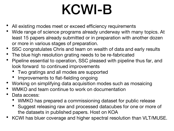# KCWI-B

- All existing modes meet or exceed efficiency requirements
- Wide range of science programs already underway with many topics. At least 15 papers already submitted or in preparation with another dozen or more in various stages of preparation.
- SSC congratulates Chris and team on wealth of data and early results
- The blue high resolution grating needs to be re-fabricated
- Pipeline essential to operation, SSC pleased with pipeline thus far, and look forward to continued improvements
	- Two gratings and all modes are supported
	- Improvements to flat-fielding ongoing
- Working on simplifying data acquisition modes such as mosaicing
- WMKO and team continue to work on documentation
- Data access:
	- WMKO has prepared a commissioning dataset for public release
	- Suggest releasing raw and processed datacubes for one or more of the datasets in published papers. Host on KOA
- KCWI has bluer coverage and higher spectral resolution than VLT/MUSE.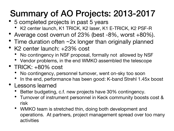#### Summary of AO Projects: 2013-2017

- 5 completed projects in past 5 years
	- K2 center launch, K1 TRICK, K2 laser, K1 E-TRICK, K2 PSF-R
- Average cost overrun of 23% (best -8%, worst +80%).
- Time duration often ~2x longer than originally planned
- K2 center launch: +23% cost
	- No contingency in NSF proposal, formally not allowed by NSF
	- Vendor problems, in the end WMKO assembled the telescope
- TRICK: +80% cost
	- No contingency, personnel turnover, went on-sky too soon
	- In the end, performance has been good: K-band Strehl 1.45x boost
- Lessons learned
	- Better budgeting, c.f. new projects have 30% contingency.
	- Turnover of instrument personnel in Keck community boosts cost & risk
	- WMKO team is stretched thin, doing both development and operations. At partners, project management spread over too many activities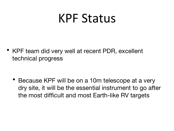### KPF Status

• KPF team did very well at recent PDR, excellent technical progress

• Because KPF will be on a 10m telescope at a very dry site, it will be the essential instrument to go after the most difficult and most Earth-like RV targets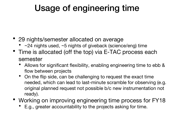#### Usage of engineering time

- 29 nights/semester allocated on average
	- ~24 nights used, ~5 nights of giveback (science/eng) time
- Time is allocated (off the top) via E-TAC process each semester
	- Allows for significant flexibility, enabling engineering time to ebb & flow between projects
	- On the flip side, can be challenging to request the exact time needed, which can lead to last-minute scramble for observing (e.g. original planned request not possible b/c new instrumentation not ready).
- Working on improving engineering time process for FY18
	- E.g., greater accountability to the projects asking for time.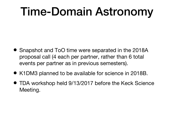### Time-Domain Astronomy

- Snapshot and ToO time were separated in the 2018A proposal call (4 each per partner, rather than 6 total events per partner as in previous semesters).
- K1DM3 planned to be available for science in 2018B.
- TDA workshop held 9/13/2017 before the Keck Science Meeting.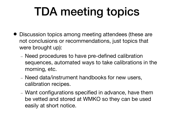### TDA meeting topics

- Discussion topics among meeting attendees (these are not conclusions or recommendations, just topics that were brought up):
	- Need procedures to have pre-defined calibration sequences, automated ways to take calibrations in the morning, etc.
	- Need data/instrument handbooks for new users, calibration recipes.
	- Want configurations specified in advance, have them be vetted and stored at WMKO so they can be used easily at short notice.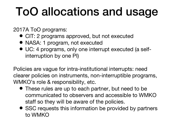### ToO allocations and usage

2017A ToO programs:

- CIT: 2 programs approved, but not executed
- NASA: 1 program, not executed
- UC: 4 programs, only one interrupt executed (a selfinterruption by one PI)

Policies are vague for intra-institutional interrupts: need clearer policies on instruments, non-interruptible programs, WMKO's role & responsibility, etc.

- These rules are up to each partner, but need to be communicated to observers and accessible to WMKO staff so they will be aware of the policies.
- SSC requests this information be provided by partners to WMKO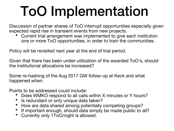# ToO Implementation

Discussion of partner shares of ToO interrupt opportunities especially given expected rapid rise in transient events from new projects.

• Current trial arrangement was implemented to give each institution one or more ToO opportunities, in order to train the communities.

Policy will be revisited next year at the end of trial period.

Given that there has been under-utilization of the awarded ToO's, should the institutional allocations be increased?

Some re-hashing of the Aug 2017 GW follow-up at Keck and what happened when.

Points to be addressed could include:

- Does WMKO respond to all calls within X minutes or Y hours?
- Is redundant or only unique data taken?
- How are data shared among potentially competing groups?
- If important enough, should data simply be made public to all?
- Currently only 1ToO/night is allowed.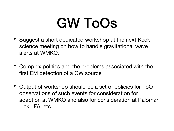## GW ToOs

- Suggest a short dedicated workshop at the next Keck science meeting on how to handle gravitational wave alerts at WMKO.
- Complex politics and the problems associated with the first EM detection of a GW source
- Output of workshop should be a set of policies for ToO observations of such events for consideration for adaption at WMKO and also for consideration at Palomar, Lick, IFA, etc.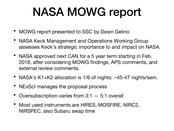### NASA MOWG report

- MOWG report presented to SSC by Dawn Gelino
- NASA Keck Management and Operations Working Group assesses Keck's strategic importance to and impact on NASA.
- NASA approved next CAN for a 5 year term starting in Feb. 2018, after considering MOWG findings, APS comments, and external review comments.
- NASA's K1+K2 allocation is 1/6 of nights: ~45-47 nights/sem.
- NExScI manages the proposal process
- Oversubscription varies from 3:1 5:1 overall
- Most used instruments are HIRES, MOSFIRE, NIRC2, NIRSPEC, also Subaru swap time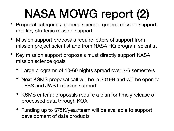## NASA MOWG report (2)

- Proposal categories: general science, general mission support, and key strategic mission support
- Mission support proposals require letters of support from mission project scientist and from NASA HQ program scientist
- Key mission support proposals must directly support NASA mission science goals
	- Large programs of 10-60 nights spread over 2-6 semesters
	- Next KSMS proposal call will be in 2019B and will be open to TESS and JWST mission support
	- KSMS criteria: proposals require a plan for timely release of processed data through KOA
	- Funding up to \$75K/year/team will be available to support development of data products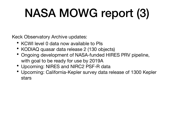## NASA MOWG report (3)

Keck Observatory Archive updates:

- KCWI level 0 data now available to PIs
- KODIAQ quasar data release 2 (130 objects)
- Ongoing development of NASA-funded HIRES PRV pipeline, with goal to be ready for use by 2019A
- Upcoming: NIRES and NIRC2 PSF-R data
- Upcoming: California-Kepler survey data release of 1300 Kepler stars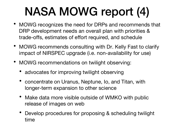### NASA MOWG report (4)

- MOWG recognizes the need for DRPs and recommends that DRP development needs an overall plan with priorities & trade-offs, estimates of effort required, and schedule
- MOWG recommends consulting with Dr. Kelly Fast to clarify impact of NIRSPEC upgrade (i.e. non-availability for use)
- MOWG recommendations on twilight observing:
	- advocates for improving twilight observing
	- concentrate on Uranus, Neptune, Io, and Titan, with longer-term expansion to other science
	- Make data more visible outside of WMKO with public release of images on web
	- Develop procedures for proposing & scheduling twilight time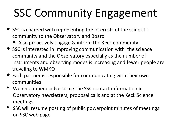### SSC Community Engagement

- SSC is charged with representing the interests of the scientific community to the Observatory and Board
	- Also proactively engage & inform the Keck community
- SSC is interested in improving communication with the science community and the Observatory especially as the number of instruments and observing modes is increasing and fewer people are traveling to WMKO
- Each partner is responsible for communicating with their own communities
- We recommend advertising the SSC contact information in Observatory newsletters, proposal calls and at the Keck Science meetings.
- SSC will resume posting of public powerpoint minutes of meetings on SSC web page